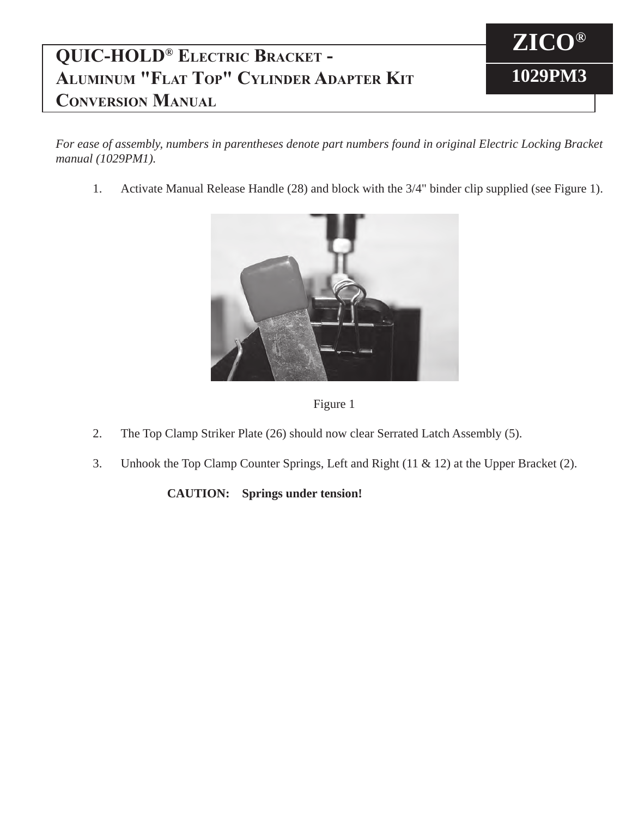## **QUIC-HOLD® Electric Bracket - Aluminum "Flat Top" Cylinder Adapter Kit Conversion Manual**



*For ease of assembly, numbers in parentheses denote part numbers found in original Electric Locking Bracket manual (1029PM1).*

1. Activate Manual Release Handle (28) and block with the 3/4" binder clip supplied (see Figure 1).





- 2. The Top Clamp Striker Plate (26) should now clear Serrated Latch Assembly (5).
- 3. Unhook the Top Clamp Counter Springs, Left and Right (11 & 12) at the Upper Bracket (2).

**CAUTION: Springs under tension!**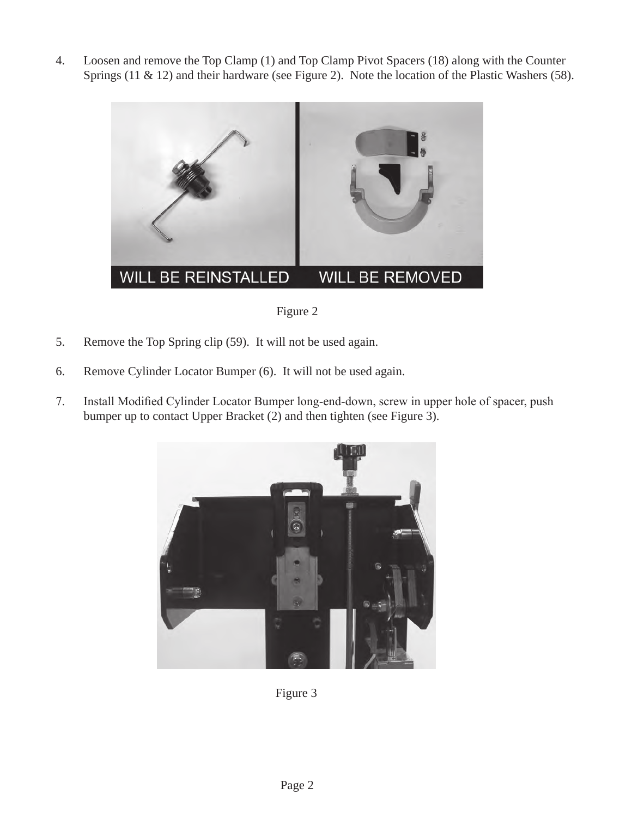4. Loosen and remove the Top Clamp (1) and Top Clamp Pivot Spacers (18) along with the Counter Springs (11 & 12) and their hardware (see Figure 2). Note the location of the Plastic Washers (58).



Figure 2

- 5. Remove the Top Spring clip (59). It will not be used again.
- 6. Remove Cylinder Locator Bumper (6). It will not be used again.
- 7. Install Modified Cylinder Locator Bumper long-end-down, screw in upper hole of spacer, push bumper up to contact Upper Bracket (2) and then tighten (see Figure 3).



Figure 3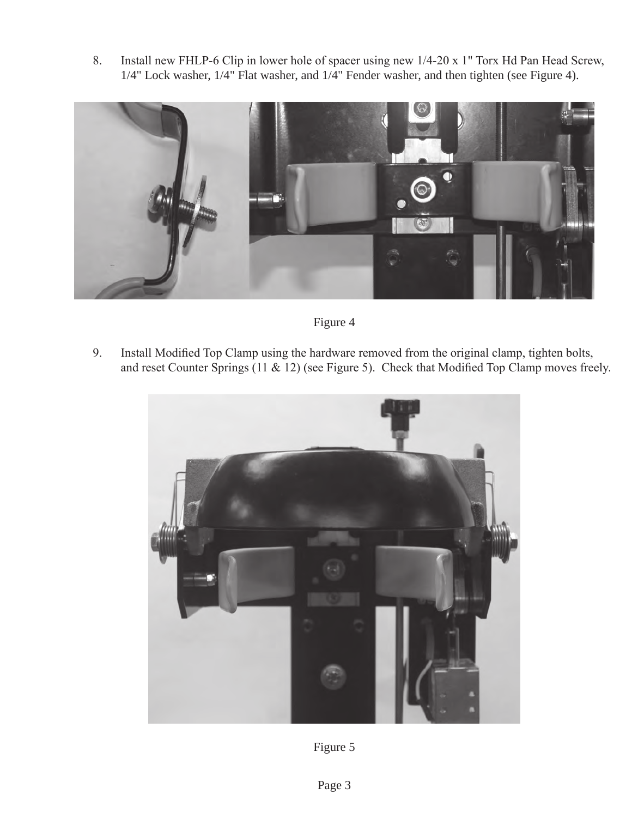8. Install new FHLP-6 Clip in lower hole of spacer using new 1/4-20 x 1" Torx Hd Pan Head Screw, 1/4" Lock washer, 1/4" Flat washer, and 1/4" Fender washer, and then tighten (see Figure 4).



Figure 4

9. Install Modified Top Clamp using the hardware removed from the original clamp, tighten bolts, and reset Counter Springs (11 & 12) (see Figure 5). Check that Modified Top Clamp moves freely.



Figure 5